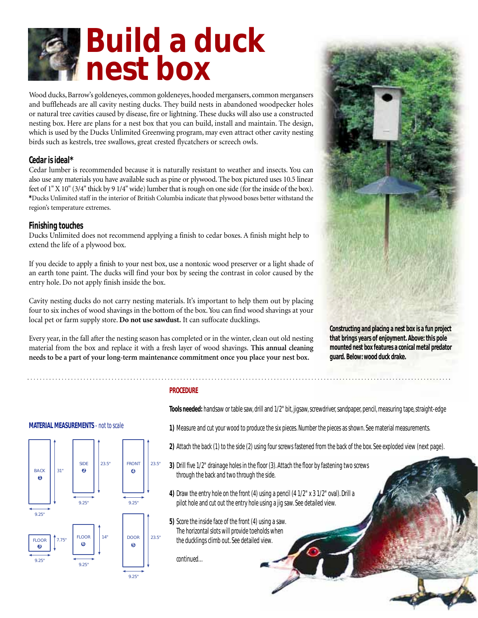# **Build a duck nest box**

Wood ducks, Barrow's goldeneyes, common goldeneyes, hooded mergansers, common mergansers and buffleheads are all cavity nesting ducks. They build nests in abandoned woodpecker holes or natural tree cavities caused by disease, fire or lightning. These ducks will also use a constructed nesting box. Here are plans for a nest box that you can build, install and maintain. The design, which is used by the Ducks Unlimited Greenwing program, may even attract other cavity nesting birds such as kestrels, tree swallows, great crested flycatchers or screech owls.

# **Cedar is ideal\***

Cedar lumber is recommended because it is naturally resistant to weather and insects. You can also use any materials you have available such as pine or plywood. The box pictured uses 10.5 linear feet of 1" X 10" (3/4" thick by 9 1/4" wide) lumber that is rough on one side (for the inside of the box). **\***Ducks Unlimited staff in the interior of British Columbia indicate that plywood boxes better withstand the region's temperature extremes.

# **Finishing touches**

Ducks Unlimited does not recommend applying a finish to cedar boxes. A finish might help to extend the life of a plywood box.

If you decide to apply a finish to your nest box, use a nontoxic wood preserver or a light shade of an earth tone paint. The ducks will find your box by seeing the contrast in color caused by the entry hole. Do not apply finish inside the box.

Cavity nesting ducks do not carry nesting materials. It's important to help them out by placing four to six inches of wood shavings in the bottom of the box. You can find wood shavings at your local pet or farm supply store. **Do not use sawdust.** It can suffocate ducklings.

Every year, in the fall after the nesting season has completed or in the winter, clean out old nesting material from the box and replace it with a fresh layer of wood shavings. **This annual cleaning needs to be a part of your long-term maintenance commitment once you place your nest box.**

**Constructing and placing a nest box is a fun project that brings years of enjoyment. Above: this pole mounted nest box features a conical metal predator guard. Below: wood duck drake.**

# **PROCEDURE**

**MATERIAL MEASUREMENTS** *- not to scale*





9.25"

**1)** Measure and cut your wood to produce the six pieces. Number the pieces as shown. See material measurements.

**Tools needed:** handsaw or table saw, drill and 1/2" bit, jigsaw, screwdriver, sandpaper, pencil, measuring tape, straight-edge

- **2)** Attach the back (1) to the side (2) using four screws fastened from the back of the box. See exploded view (next page).
- **3)** Drill five 1/2" drainage holes in the floor (3). Attach the floor by fastening two screws through the back and two through the side.
- **4)** Draw the entry hole on the front (4) using a pencil (4 1/2" x 3 1/2" oval). Drill a pilot hole and cut out the entry hole using a jig saw. See detailed view.
- **5)** Score the inside face of the front (4) using a saw. The horizontal slots will provide toeholds when the ducklings climb out. See detailed view.

*continued…*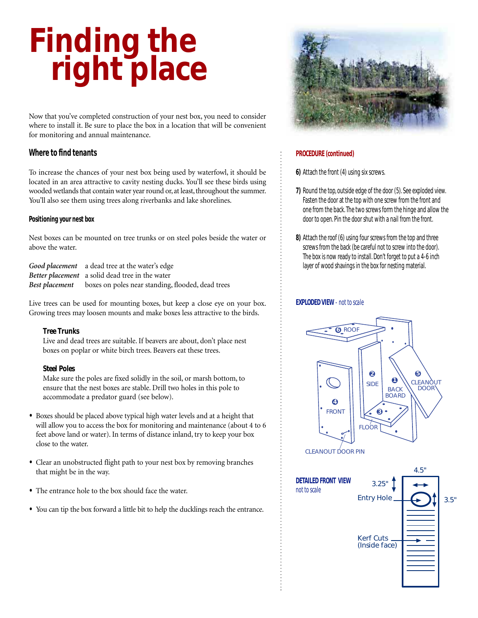# **Finding the right place**

Now that you've completed construction of your nest box, you need to consider where to install it. Be sure to place the box in a location that will be convenient for monitoring and annual maintenance.

# **Where to find tenants**

To increase the chances of your nest box being used by waterfowl, it should be located in an area attractive to cavity nesting ducks. You'll see these birds using wooded wetlands that contain water year round or, at least, throughout the summer. You'll also see them using trees along riverbanks and lake shorelines.

#### **Positioning your nest box**

Nest boxes can be mounted on tree trunks or on steel poles beside the water or above the water.

| Good placement a dead tree at the water's edge                   |
|------------------------------------------------------------------|
| Better placement a solid dead tree in the water                  |
| Best placement boxes on poles near standing, flooded, dead trees |

Live trees can be used for mounting boxes, but keep a close eye on your box. Growing trees may loosen mounts and make boxes less attractive to the birds.

#### **Tree Trunks**

Live and dead trees are suitable. If beavers are about, don't place nest boxes on poplar or white birch trees. Beavers eat these trees.

#### **Steel Poles**

Make sure the poles are fixed solidly in the soil, or marsh bottom, to ensure that the nest boxes are stable. Drill two holes in this pole to accommodate a predator guard (see below).

- **•** Boxes should be placed above typical high water levels and at a height that will allow you to access the box for monitoring and maintenance (about 4 to 6 feet above land or water). In terms of distance inland, try to keep your box close to the water.
- **•** Clear an unobstructed flight path to your nest box by removing branches that might be in the way.
- **•** The entrance hole to the box should face the water.
- **•** You can tip the box forward a little bit to help the ducklings reach the entrance.



#### **PROCEDURE (continued)**

- **6)** Attach the front (4) using six screws.
- **7)** Round the top, outside edge of the door (5). See exploded view. Fasten the door at the top with one screw from the front and one from the back.The two screws form the hinge and allow the door to open. Pin the door shut with a nail from the front.
- **8)** Attach the roof (6) using four screws from the top and three screws from the back (be careful not to screw into the door). The box is now ready to install. Don't forget to put a 4-6 inch layer of wood shavings in the box for nesting material.

#### **EXPLODED VIEW** *- not to scale*